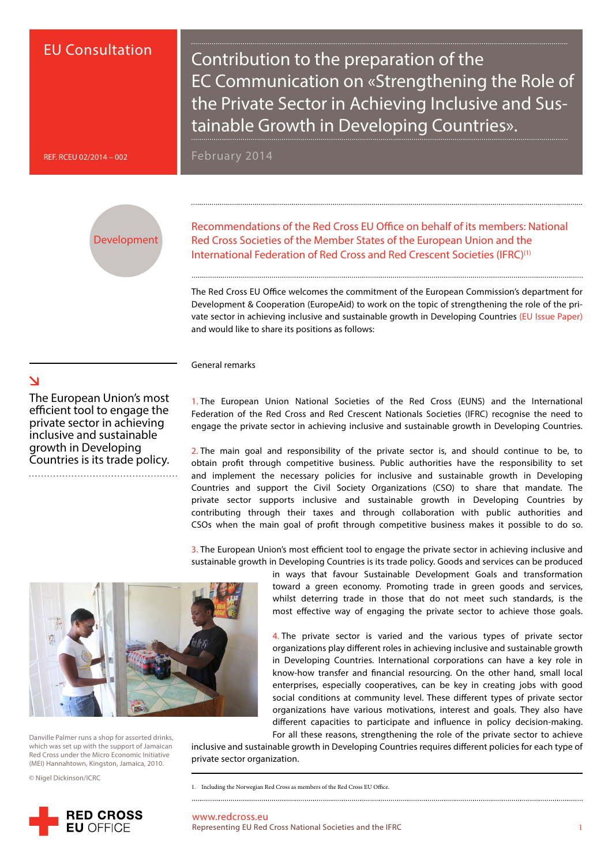# EU Consultation

Contribution to the preparation of the EC Communication on «Strengthening the Role of the Private Sector in Achieving Inclusive and Sustainable Growth in Developing Countries».

REF. RCEU 02/2014 – 002

February 2014

Development

Recommendations of the Red Cross EU Office on behalf of its members: National Red Cross Societies of the Member States of the European Union and the International Federation of Red Cross and Red Crescent Societies (IFRC)<sup>(1)</sup>

The Red Cross EU Office welcomes the commitment of the European Commission's department for Development & Cooperation (EuropeAid) to work on the topic of strengthening the role of the private sector in achieving inclusive and sustainable growth in Developing Countries [\(EU Issue Paper\)](https://webgate.ec.europa.eu/fpfis/mwikis/aidco/images/5/59/PS_Com_issue_paper_Final_EN.pdf) and would like to share its positions as follows:

#### General remarks

The European Union's most efficient tool to engage the private sector in achieving inclusive and sustainable growth in Developing Countries is its trade policy.

1. The European Union National Societies of the Red Cross (EUNS) and the International Federation of the Red Cross and Red Crescent Nationals Societies (IFRC) recognise the need to engage the private sector in achieving inclusive and sustainable growth in Developing Countries.

2. The main goal and responsibility of the private sector is, and should continue to be, to obtain profit through competitive business. Public authorities have the responsibility to set and implement the necessary policies for inclusive and sustainable growth in Developing Countries and support the Civil Society Organizations (CSO) to share that mandate. The private sector supports inclusive and sustainable growth in Developing Countries by contributing through their taxes and through collaboration with public authorities and CSOs when the main goal of profit through competitive business makes it possible to do so.

3. The European Union's most efficient tool to engage the private sector in achieving inclusive and sustainable growth in Developing Countries is its trade policy. Goods and services can be produced



Danville Palmer runs a shop for assorted drinks, which was set up with the support of Jamaican Red Cross under the Micro Economic Initiative (MEI) Hannahtown, Kingston, Jamaica, 2010.

© Nigel Dickinson/ICRC



in ways that favour Sustainable Development Goals and transformation toward a green economy. Promoting trade in green goods and services, whilst deterring trade in those that do not meet such standards, is the most effective way of engaging the private sector to achieve those goals.

4. The private sector is varied and the various types of private sector organizations play different roles in achieving inclusive and sustainable growth in Developing Countries. International corporations can have a key role in know-how transfer and financial resourcing. On the other hand, small local enterprises, especially cooperatives, can be key in creating jobs with good social conditions at community level. These different types of private sector organizations have various motivations, interest and goals. They also have different capacities to participate and influence in policy decision-making. For all these reasons, strengthening the role of the private sector to achieve

inclusive and sustainable growth in Developing Countries requires different policies for each type of private sector organization.

www.redcross.eu Representing EU Red Cross National Societies and the IFRC 1

# $\Delta$

<sup>1.</sup> Including the Norwegian Red Cross as members of the Red Cross EU Office.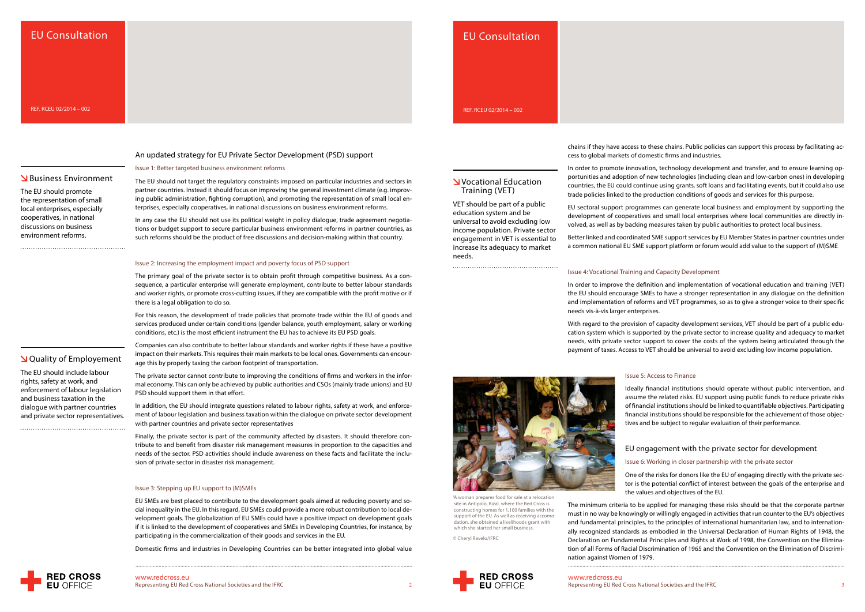# www.redcross.eu

# **S** Business Environment

# EU Consultation

An updated strategy for EU Private Sector Development (PSD) support

Issue 1: Better targeted business environment reforms

The EU should not target the regulatory constraints imposed on particular industries and sectors in partner countries. Instead it should focus on improving the general investment climate (e.g. improving public administration, fighting corruption), and promoting the representation of small local enterprises, especially cooperatives, in national discussions on business environment reforms.

In any case the EU should not use its political weight in policy dialogue, trade agreement negotiations or budget support to secure particular business environment reforms in partner countries, as such reforms should be the product of free discussions and decision-making within that country.

### Issue 2: Increasing the employment impact and poverty focus of PSD support

In addition, the EU should integrate questions related to labour rights, safety at work, and enforcement of labour legislation and business taxation within the dialogue on private sector development with partner countries and private sector representatives

The primary goal of the private sector is to obtain profit through competitive business. As a consequence, a particular enterprise will generate employment, contribute to better labour standards and worker rights, or promote cross-cutting issues, if they are compatible with the profit motive or if there is a legal obligation to do so.

For this reason, the development of trade policies that promote trade within the EU of goods and services produced under certain conditions (gender balance, youth employment, salary or working conditions, etc.) is the most efficient instrument the EU has to achieve its EU PSD goals.

Companies can also contribute to better labour standards and worker rights if these have a positive impact on their markets. This requires their main markets to be local ones. Governments can encourage this by properly taxing the carbon footprint of transportation.

The private sector cannot contribute to improving the conditions of firms and workers in the informal economy. This can only be achieved by public authorities and CSOs (mainly trade unions) and EU PSD should support them in that effort.

Finally, the private sector is part of the community affected by disasters. It should therefore contribute to and benefit from disaster risk management measures in proportion to the capacities and needs of the sector. PSD activities should include awareness on these facts and facilitate the inclusion of private sector in disaster risk management.

### Issue 3: Stepping up EU support to (M)SMEs

EU SMEs are best placed to contribute to the development goals aimed at reducing poverty and social inequality in the EU. In this regard, EU SMEs could provide a more robust contribution to local development goals. The globalization of EU SMEs could have a positive impact on development goals if it is linked to the development of cooperatives and SMEs in Developing Countries, for instance, by participating in the commercialization of their goods and services in the EU.

**V** Vocational Education Training (VET)

Domestic firms and industries in Developing Countries can be better integrated into global value



Representing EU Red Cross National Societies and the IFRC  $\hfill$  2  $\hfill$   $\blacksquare$   $\blacksquare$   $\blacksquare$   $\blacksquare$   $\blacksquare$   $\blacksquare$   $\blacksquare$   $\blacksquare$   $\blacksquare$   $\blacksquare$   $\blacksquare$   $\blacksquare$   $\blacksquare$   $\blacksquare$   $\blacksquare$   $\blacksquare$   $\blacksquare$   $\blacksquare$   $\blacksquare$   $\blacksquare$   $\blacksquare$   $\$ www.redcross.eu<br>Representing EU Red Cross National Societies and the IFRC

chains if they have access to these chains. Public policies can support this process by facilitating access to global markets of domestic firms and industries.

In order to promote innovation, technology development and transfer, and to ensure learning opportunities and adoption of new technologies (including clean and low-carbon ones) in developing countries, the EU could continue using grants, soft loans and facilitating events, but it could also use trade policies linked to the production conditions of goods and services for this purpose.

EU sectoral support programmes can generate local business and employment by supporting the development of cooperatives and small local enterprises where local communities are directly involved, as well as by backing measures taken by public authorities to protect local business.

Better linked and coordinated SME support services by EU Member States in partner countries under a common national EU SME support platform or forum would add value to the support of (M)SME

## Issue 4: Vocational Training and Capacity Development

In order to improve the definition and implementation of vocational education and training (VET) the EU should encourage SMEs to have a stronger representation in any dialogue on the definition and implementation of reforms and VET programmes, so as to give a stronger voice to their specific needs vis-à-vis larger enterprises.

With regard to the provision of capacity development services, VET should be part of a public education system which is supported by the private sector to increase quality and adequacy to market needs, with private sector support to cover the costs of the system being articulated through the payment of taxes. Access to VET should be universal to avoid excluding low income population.

# Issue 5: Access to Finance

Ideally financial institutions should operate without public intervention, and assume the related risks. EU support using public funds to reduce private risks of financial institutions should be linked to quantifiable objectives. Participating financial institutions should be responsible for the achievement of those objectives and be subject to regular evaluation of their performance.

## EU engagement with the private sector for development

## Issue 6: Working in closer partnership with the private sector

One of the risks for donors like the EU of engaging directly with the private sector is the potential conflict of interest between the goals of the enterprise and the values and objectives of the EU.

The minimum criteria to be applied for managing these risks should be that the corporate partner must in no way be knowingly or willingly engaged in activities that run counter to the EU's objectives and fundamental principles, to the principles of international humanitarian law, and to internationally recognized standards as embodied in the Universal Declaration of Human Rights of 1948, the Declaration on Fundamental Principles and Rights at Work of 1998, the Convention on the Elimination of all Forms of Racial Discrimination of 1965 and the Convention on the Elimination of Discrimination against Women of 1979.

VET should be part of a public education system and be universal to avoid excluding low income population. Private sector engagement in VET is essential to increase its adequacy to market

needs.

 Quality of Employement The EU should include labour rights, safety at work, and enforcement of labour legislation and business taxation in the dialogue with partner countries and private sector representatives.





**RED CROSS** 

constructing homes for 1,100 families with the support of the EU. As well as receiving accomodation, she obtained a livelihoods grant with which she started her small business.

© Cheryl Ravelo/IFRC

## EU Consultation

REF. RCEU 02/2014 – 002

The EU should promote the representation of small local enterprises, especially cooperatives, in national discussions on business environment reforms.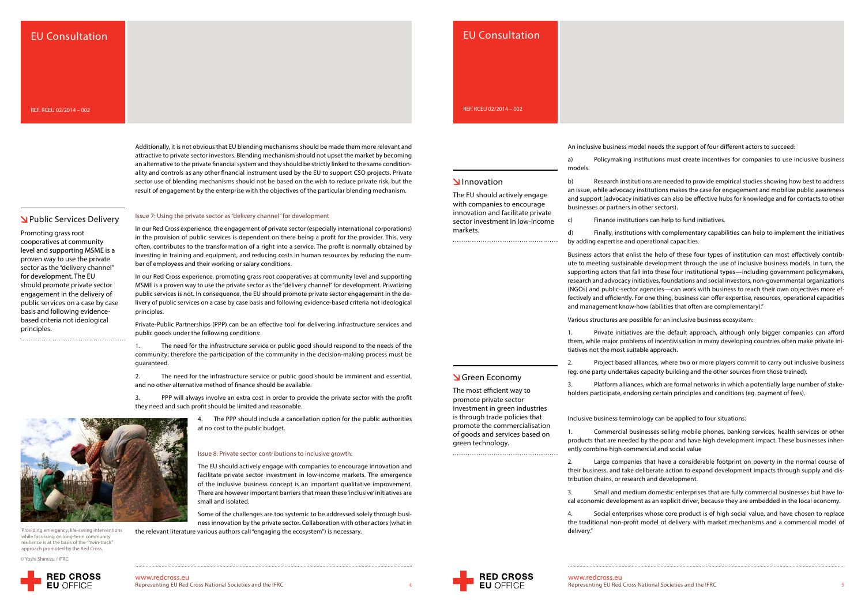Representing EU Red Cross National Societies and the IFRC Representing EU Red Cross National Societies and the IFRC 4 5 www.redcross.eu<br>Representing EU Red Cross National Societies and the IFRC

Additionally, it is not obvious that EU blending mechanisms should be made them more relevant and attractive to private sector investors. Blending mechanism should not upset the market by becoming an alternative to the private financial system and they should be strictly linked to the same conditionality and controls as any other financial instrument used by the EU to support CSO projects. Private sector use of blending mechanisms should not be based on the wish to reduce private risk, but the result of engagement by the enterprise with the objectives of the particular blending mechanism.

# **N** Public Services Delivery

#### Issue 7: Using the private sector as "delivery channel" for development

In our Red Cross experience, the engagement of private sector (especially international corporations) in the provision of public services is dependent on there being a profit for the provider. This, very often, contributes to the transformation of a right into a service. The profit is normally obtained by investing in training and equipment, and reducing costs in human resources by reducing the number of employees and their working or salary conditions.

In our Red Cross experience, promoting grass root cooperatives at community level and supporting MSME is a proven way to use the private sector as the "delivery channel" for development. Privatizing public services is not. In consequence, the EU should promote private sector engagement in the delivery of public services on a case by case basis and following evidence-based criteria not ideological principles.

Private-Public Partnerships (PPP) can be an effective tool for delivering infrastructure services and public goods under the following conditions:

1. The need for the infrastructure service or public good should respond to the needs of the community; therefore the participation of the community in the decision-making process must be guaranteed.

2. The need for the infrastructure service or public good should be imminent and essential, and no other alternative method of finance should be available.

3. PPP will always involve an extra cost in order to provide the private sector with the profit they need and such profit should be limited and reasonable.

4. The PPP should include a cancellation option for the public authorities

at no cost to the public budget.

Issue 8: Private sector contributions to inclusive growth:

The EU should actively engage with companies to encourage innovation and facilitate private sector investment in low-income markets. The emergence of the inclusive business concept is an important qualitative improvement. There are however important barriers that mean these 'inclusive' initiatives are

small and isolated.

Some of the challenges are too systemic to be addressed solely through business innovation by the private sector. Collaboration with other actors (what in







An inclusive business model needs the support of four different actors to succeed:

a) Policymaking institutions must create incentives for companies to use inclusive business

models.

b) Research institutions are needed to provide empirical studies showing how best to address an issue, while advocacy institutions makes the case for engagement and mobilize public awareness and support (advocacy initiatives can also be effective hubs for knowledge and for contacts to other businesses or partners in other sectors).

c) Finance institutions can help to fund initiatives.

d) Finally, institutions with complementary capabilities can help to implement the initiatives by adding expertise and operational capacities.

Business actors that enlist the help of these four types of institution can most effectively contribute to meeting sustainable development through the use of inclusive business models. In turn, the supporting actors that fall into these four institutional types—including government policymakers, research and advocacy initiatives, foundations and social investors, non-governmental organizations (NGOs) and public-sector agencies—can work with business to reach their own objectives more effectively and efficiently. For one thing, business can offer expertise, resources, operational capacities and management know-how (abilities that often are complementary)."

Various structures are possible for an inclusive business ecosystem:

1. Private initiatives are the default approach, although only bigger companies can afford them, while major problems of incentivisation in many developing countries often make private initiatives not the most suitable approach.

2. Project based alliances, where two or more players commit to carry out inclusive business (eg. one party undertakes capacity building and the other sources from those trained).

3. Platform alliances, which are formal networks in which a potentially large number of stakeholders participate, endorsing certain principles and conditions (eg. payment of fees).

Inclusive business terminology can be applied to four situations:

1. Commercial businesses selling mobile phones, banking services, health services or other products that are needed by the poor and have high development impact. These businesses inherently combine high commercial and social value

2. Large companies that have a considerable footprint on poverty in the normal course of their business, and take deliberate action to expand development impacts through supply and distribution chains, or research and development.

3. Small and medium domestic enterprises that are fully commercial businesses but have local economic development as an explicit driver, because they are embedded in the local economy.

4. Social enterprises whose core product is of high social value, and have chosen to replace the traditional non-profit model of delivery with market mechanisms and a commercial model of delivery."

The EU should actively engage with companies to encourage innovation and facilitate private sector investment in low-income

markets.

'Providing emergency, life-saving interventions while focussing on long-term community resilience is at the basis of the "twin-track" approach promoted by the Red Cross.

© Yoshi Shimizu / IFRC



Promoting grass root cooperatives at community level and supporting MSME is a proven way to use the private sector as the "delivery channel" for development. The EU should promote private sector engagement in the delivery of public services on a case by case basis and following evidencebased criteria not ideological principles.

# EU Consultation

REF. RCEU 02/2014 – 002

# EU Consultation

REF. RCEU 02/2014 – 002

**N**Innovation

Green Economy The most efficient way to promote private sector investment in green industries is through trade policies that promote the commercialisation of goods and services based on

green technology.